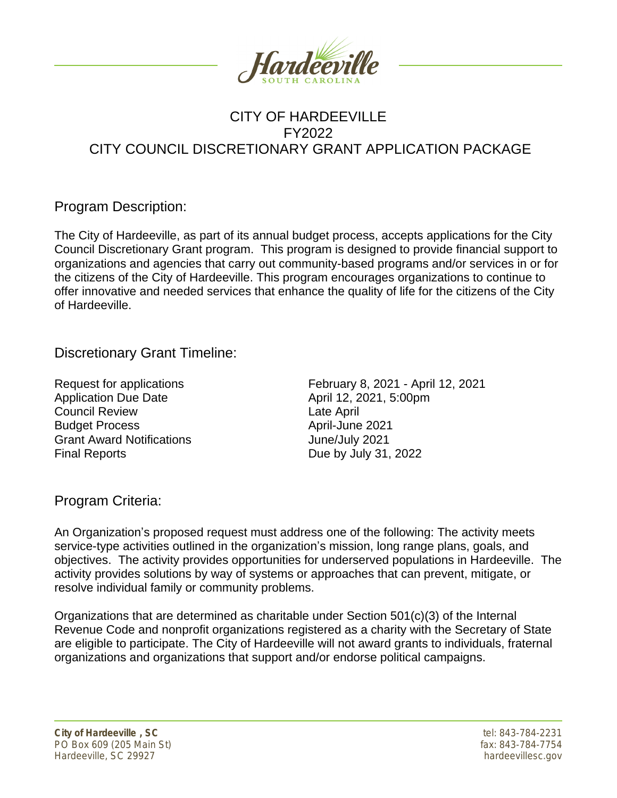

# CITY OF HARDEEVILLE FY2022 CITY COUNCIL DISCRETIONARY GRANT APPLICATION PACKAGE

## Program Description:

The City of Hardeeville, as part of its annual budget process, accepts applications for the City Council Discretionary Grant program. This program is designed to provide financial support to organizations and agencies that carry out community-based programs and/or services in or for the citizens of the City of Hardeeville. This program encourages organizations to continue to offer innovative and needed services that enhance the quality of life for the citizens of the City of Hardeeville.

Discretionary Grant Timeline:

Application Due Date April 12, 2021, 5:00pm **Council Review Council Review** Budget Process April-June 2021 Grant Award Notifications **Grant Award Notifications** June/July 2021 Final Reports **Due by July 31, 2022** 

Request for applications February 8, 2021 - April 12, 2021

#### Program Criteria:

An Organization's proposed request must address one of the following: The activity meets service-type activities outlined in the organization's mission, long range plans, goals, and objectives. The activity provides opportunities for underserved populations in Hardeeville. The activity provides solutions by way of systems or approaches that can prevent, mitigate, or resolve individual family or community problems.

Organizations that are determined as charitable under Section 501(c)(3) of the Internal Revenue Code and nonprofit organizations registered as a charity with the Secretary of State are eligible to participate. The City of Hardeeville will not award grants to individuals, fraternal organizations and organizations that support and/or endorse political campaigns.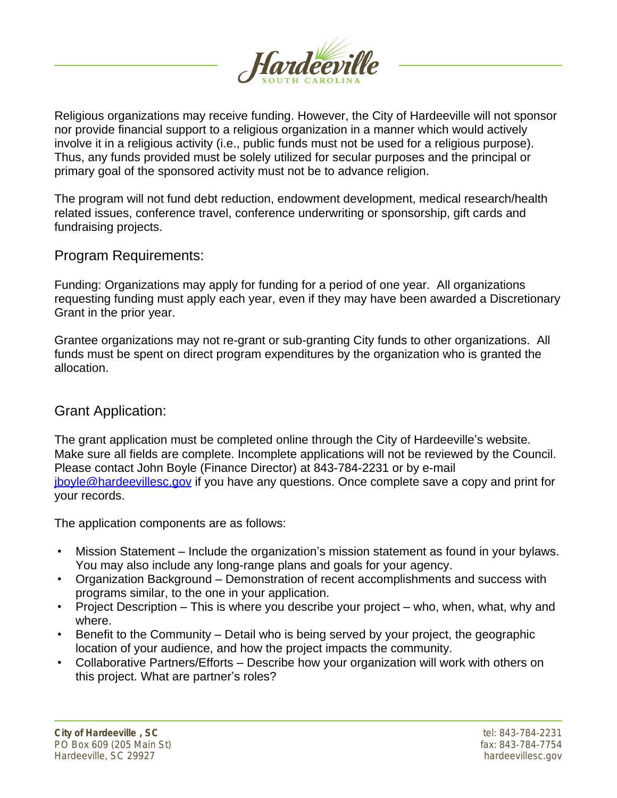

Religious organizations may receive funding. However, the City of Hardeeville will not sponsor nor provide financial support to a religious organization in a manner which would actively involve it in a religious activity (i.e., public funds must not be used for a religious purpose). Thus, any funds provided must be solely utilized for secular purposes and the principal or primary goal of the sponsored activity must not be to advance religion.

The program will not fund debt reduction, endowment development, medical research/health related issues, conference travel, conference underwriting or sponsorship, gift cards and fundraising projects.

#### Program Requirements:

Funding: Organizations may apply for funding for a period of one year. All organizations requesting funding must apply each year, even if they may have been awarded a Discretionary Grant in the prior year.

Grantee organizations may not re-grant or sub-granting City funds to other organizations. All funds must be spent on direct program expenditures by the organization who is granted the allocation.

#### Grant Application:

The grant application must be completed online through the City of Hardeeville's website. Make sure all fields are complete. Incomplete applications will not be reviewed by the Council. Please contact John Boyle (Finance Director) at 843-784-2231 or by e-mail [jboyle@hardeevillesc.gov](mailto:jboyle@hardeevillesc.gov) if you have any questions. Once complete save a copy and print for your records.

The application components are as follows:

- Mission Statement Include the organization's mission statement as found in your bylaws. You may also include any long-range plans and goals for your agency.
- Organization Background Demonstration of recent accomplishments and success with programs similar, to the one in your application.
- Project Description This is where you describe your project who, when, what, why and where.
- Benefit to the Community Detail who is being served by your project, the geographic location of your audience, and how the project impacts the community.
- Collaborative Partners/Efforts Describe how your organization will work with others on this project. What are partner's roles?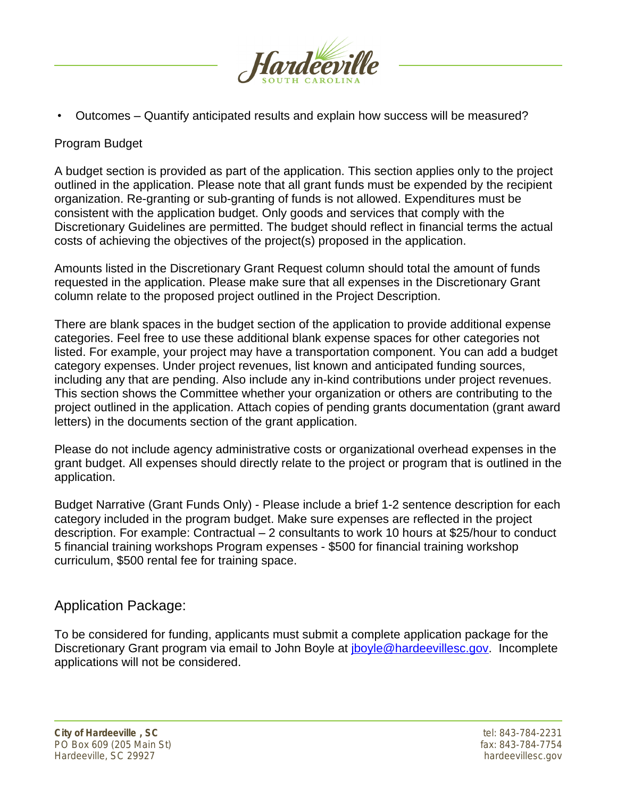

• Outcomes – Quantify anticipated results and explain how success will be measured?

#### Program Budget

A budget section is provided as part of the application. This section applies only to the project outlined in the application. Please note that all grant funds must be expended by the recipient organization. Re-granting or sub-granting of funds is not allowed. Expenditures must be consistent with the application budget. Only goods and services that comply with the Discretionary Guidelines are permitted. The budget should reflect in financial terms the actual costs of achieving the objectives of the project(s) proposed in the application.

Amounts listed in the Discretionary Grant Request column should total the amount of funds requested in the application. Please make sure that all expenses in the Discretionary Grant column relate to the proposed project outlined in the Project Description.

There are blank spaces in the budget section of the application to provide additional expense categories. Feel free to use these additional blank expense spaces for other categories not listed. For example, your project may have a transportation component. You can add a budget category expenses. Under project revenues, list known and anticipated funding sources, including any that are pending. Also include any in-kind contributions under project revenues. This section shows the Committee whether your organization or others are contributing to the project outlined in the application. Attach copies of pending grants documentation (grant award letters) in the documents section of the grant application.

Please do not include agency administrative costs or organizational overhead expenses in the grant budget. All expenses should directly relate to the project or program that is outlined in the application.

Budget Narrative (Grant Funds Only) - Please include a brief 1-2 sentence description for each category included in the program budget. Make sure expenses are reflected in the project description. For example: Contractual – 2 consultants to work 10 hours at \$25/hour to conduct 5 financial training workshops Program expenses - \$500 for financial training workshop curriculum, \$500 rental fee for training space.

#### Application Package:

To be considered for funding, applicants must submit a complete application package for the Discretionary Grant program via email to John Boyle at *[jboyle@hardeevillesc.gov](mailto:jboyle@hardeevillesc.gov)*. Incomplete applications will not be considered.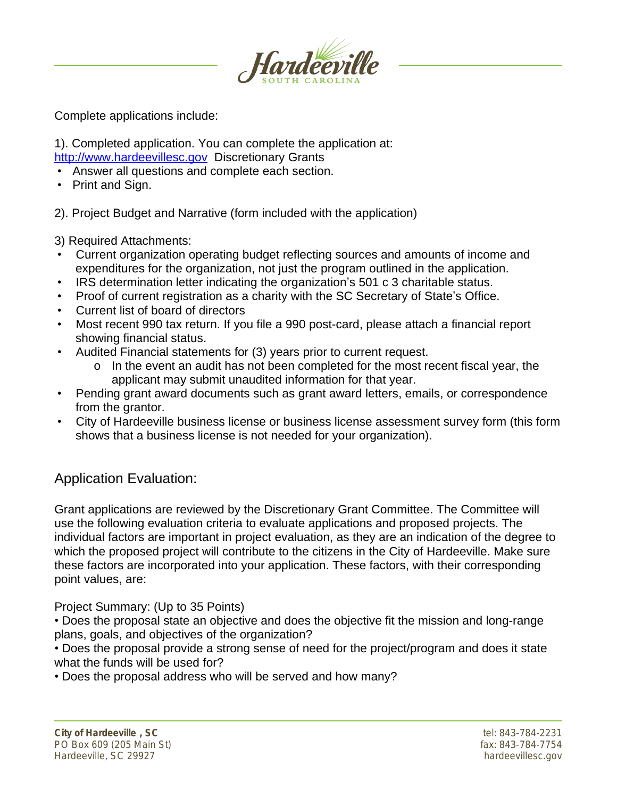

Complete applications include:

1). Completed application. You can complete the application at: <http://www.hardeevillesc.gov> Discretionary Grants

- Answer all questions and complete each section.
- Print and Sign.

2). Project Budget and Narrative (form included with the application)

- 3) Required Attachments:
- Current organization operating budget reflecting sources and amounts of income and expenditures for the organization, not just the program outlined in the application.
- IRS determination letter indicating the organization's 501 c 3 charitable status.
- Proof of current registration as a charity with the SC Secretary of State's Office.
- Current list of board of directors
- Most recent 990 tax return. If you file a 990 post-card, please attach a financial report showing financial status.
- Audited Financial statements for (3) years prior to current request.
	- o In the event an audit has not been completed for the most recent fiscal year, the applicant may submit unaudited information for that year.
- Pending grant award documents such as grant award letters, emails, or correspondence from the grantor.
- City of Hardeeville business license or business license assessment survey form (this form shows that a business license is not needed for your organization).

# Application Evaluation:

Grant applications are reviewed by the Discretionary Grant Committee. The Committee will use the following evaluation criteria to evaluate applications and proposed projects. The individual factors are important in project evaluation, as they are an indication of the degree to which the proposed project will contribute to the citizens in the City of Hardeeville. Make sure these factors are incorporated into your application. These factors, with their corresponding point values, are:

Project Summary: (Up to 35 Points)

• Does the proposal state an objective and does the objective fit the mission and long-range plans, goals, and objectives of the organization?

• Does the proposal provide a strong sense of need for the project/program and does it state what the funds will be used for?

• Does the proposal address who will be served and how many?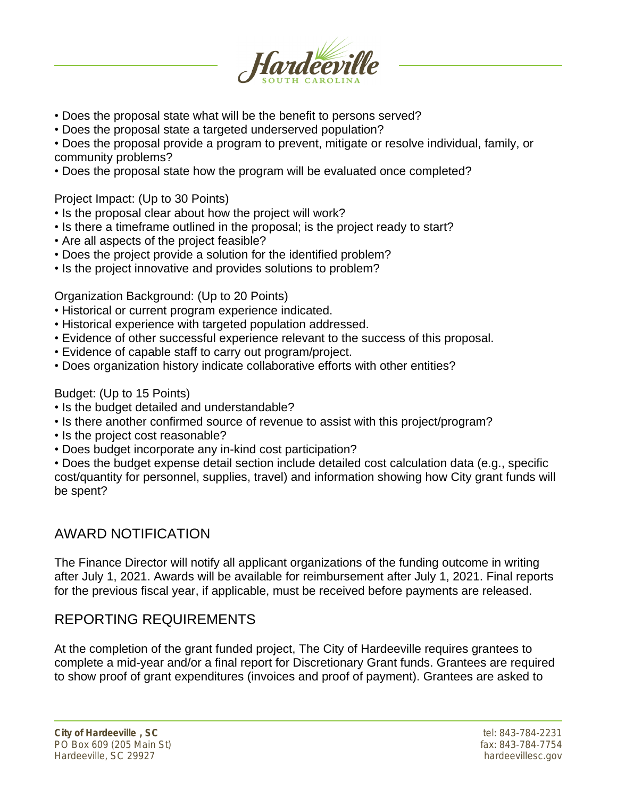

- Does the proposal state what will be the benefit to persons served?
- Does the proposal state a targeted underserved population?

• Does the proposal provide a program to prevent, mitigate or resolve individual, family, or community problems?

• Does the proposal state how the program will be evaluated once completed?

Project Impact: (Up to 30 Points)

- Is the proposal clear about how the project will work?
- Is there a timeframe outlined in the proposal; is the project ready to start?
- Are all aspects of the project feasible?
- Does the project provide a solution for the identified problem?
- Is the project innovative and provides solutions to problem?

Organization Background: (Up to 20 Points)

- Historical or current program experience indicated.
- Historical experience with targeted population addressed.
- Evidence of other successful experience relevant to the success of this proposal.
- Evidence of capable staff to carry out program/project.
- Does organization history indicate collaborative efforts with other entities?

Budget: (Up to 15 Points)

- Is the budget detailed and understandable?
- Is there another confirmed source of revenue to assist with this project/program?
- Is the project cost reasonable?
- Does budget incorporate any in-kind cost participation?

• Does the budget expense detail section include detailed cost calculation data (e.g., specific cost/quantity for personnel, supplies, travel) and information showing how City grant funds will be spent?

# AWARD NOTIFICATION

The Finance Director will notify all applicant organizations of the funding outcome in writing after July 1, 2021. Awards will be available for reimbursement after July 1, 2021. Final reports for the previous fiscal year, if applicable, must be received before payments are released.

# REPORTING REQUIREMENTS

At the completion of the grant funded project, The City of Hardeeville requires grantees to complete a mid-year and/or a final report for Discretionary Grant funds. Grantees are required to show proof of grant expenditures (invoices and proof of payment). Grantees are asked to